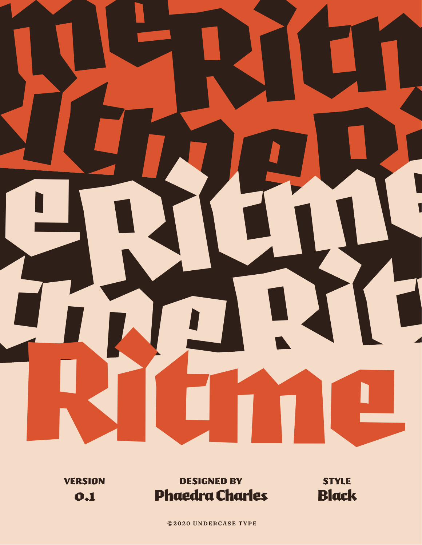

**VERSION** 0.1

designed by Phaedra Charles

style Black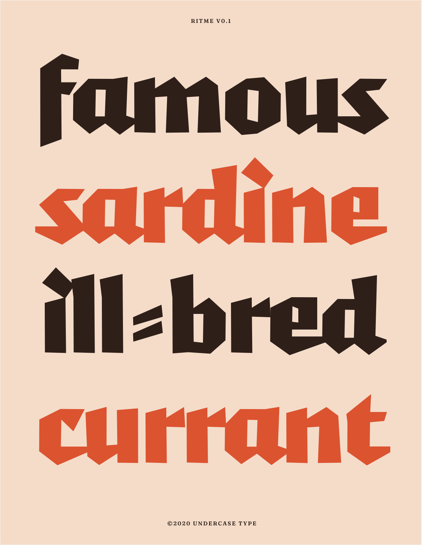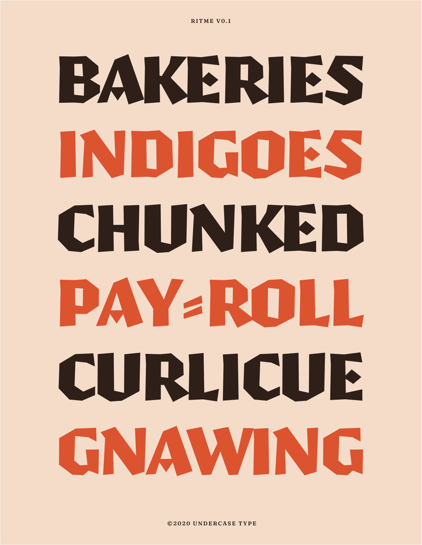# BAKERIES INDIGOES CHUNKED PAY-ROLL CURLICUE GNAWING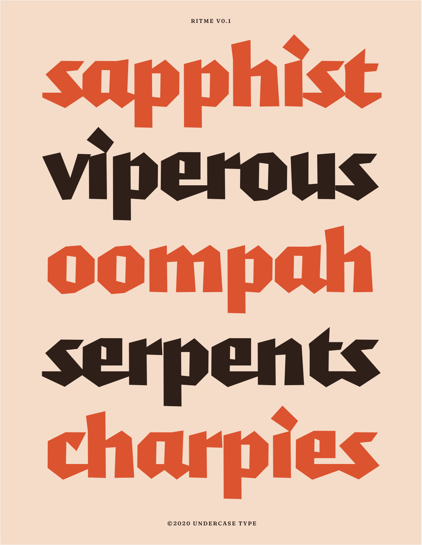# sapphist Viperous oompah serpents charpies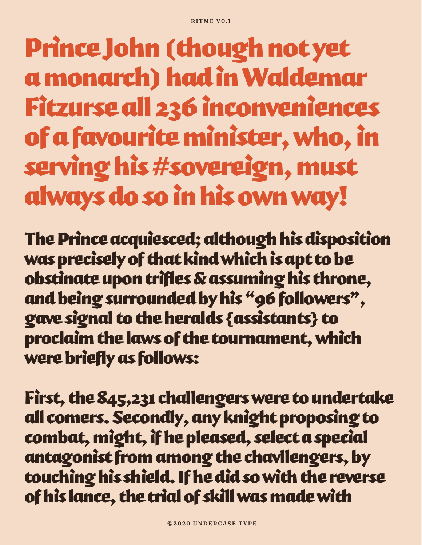### Prince John (though not yet a monarch) had in Waldemar Fitzurse all 236 inconveniences of a favourite minister, who, in serving his #sovereign, must always do so in his own way!

The Prince acquiesced; although his disposition was precisely of that kind which is apt to be obstinate upon trifles & assuming his throne, and being surrounded by his "96 followers", gave signal to the heralds {assistants} to proclaim the laws of the tournament, which were briefly as follows:

First, the 845,231 challengers were to undertake all comers. Secondly, any knight proposing to combat, might, if he pleased, select a special antagonist from among the chavllengers, by touching his shield. If he did so with the reverse of his lance, the trial of skill was made with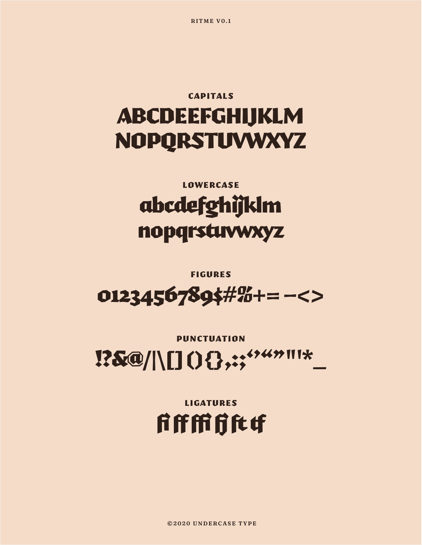©2020 UNDERCASE TYPE

**LIGATURES fifffififittf** 

#### **PUNCTUATION**

## $0123456789$ \$#%+=-<>

**FIGURES** 

#### **LOWERCASE** abcdefghijklm nopqrstuvwxyz

#### **CAPITALS** ABCDEEFGHIJKLM **NOPQRSTUVWXYZ**

RITME VO.1